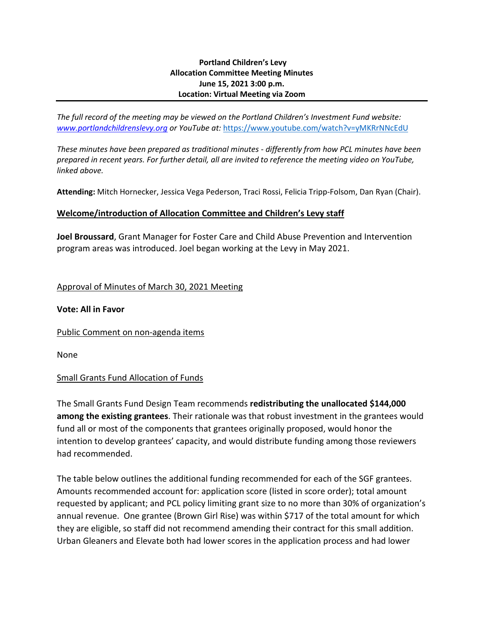#### **Portland Children's Levy Allocation Committee Meeting Minutes June 15, 2021 3:00 p.m. Location: Virtual Meeting via Zoom**

*The full record of the meeting may be viewed on the Portland Children's Investment Fund website: [www.portlandchildrenslevy.org](http://www.portlandchildrenslevy.org/) or YouTube at:* <https://www.youtube.com/watch?v=yMKRrNNcEdU>

*These minutes have been prepared as traditional minutes - differently from how PCL minutes have been prepared in recent years. For further detail, all are invited to reference the meeting video on YouTube, linked above.*

**Attending:** Mitch Hornecker, Jessica Vega Pederson, Traci Rossi, Felicia Tripp-Folsom, Dan Ryan (Chair).

#### **Welcome/introduction of Allocation Committee and Children's Levy staff**

**Joel Broussard**, Grant Manager for Foster Care and Child Abuse Prevention and Intervention program areas was introduced. Joel began working at the Levy in May 2021.

#### Approval of Minutes of March 30, 2021 Meeting

#### **Vote: All in Favor**

Public Comment on non-agenda items

None

#### Small Grants Fund Allocation of Funds

The Small Grants Fund Design Team recommends **redistributing the unallocated \$144,000 among the existing grantees**. Their rationale was that robust investment in the grantees would fund all or most of the components that grantees originally proposed, would honor the intention to develop grantees' capacity, and would distribute funding among those reviewers had recommended.

The table below outlines the additional funding recommended for each of the SGF grantees. Amounts recommended account for: application score (listed in score order); total amount requested by applicant; and PCL policy limiting grant size to no more than 30% of organization's annual revenue. One grantee (Brown Girl Rise) was within \$717 of the total amount for which they are eligible, so staff did not recommend amending their contract for this small addition. Urban Gleaners and Elevate both had lower scores in the application process and had lower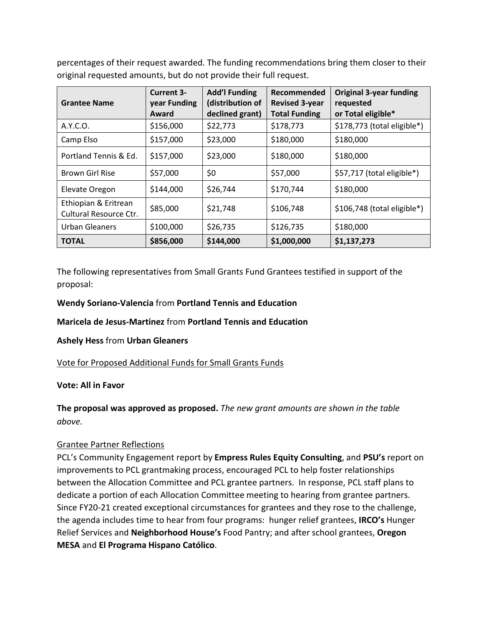percentages of their request awarded. The funding recommendations bring them closer to their original requested amounts, but do not provide their full request.

| <b>Grantee Name</b>                            | <b>Current 3-</b><br>year Funding<br>Award | <b>Add'l Funding</b><br>(distribution of<br>declined grant) | Recommended<br><b>Revised 3-year</b><br><b>Total Funding</b> | <b>Original 3-year funding</b><br>requested<br>or Total eligible* |
|------------------------------------------------|--------------------------------------------|-------------------------------------------------------------|--------------------------------------------------------------|-------------------------------------------------------------------|
| A.Y.C.O.                                       | \$156,000                                  | \$22,773                                                    | \$178,773                                                    | \$178,773 (total eligible*)                                       |
| Camp Elso                                      | \$157,000                                  | \$23,000                                                    | \$180,000                                                    | \$180,000                                                         |
| Portland Tennis & Ed.                          | \$157,000                                  | \$23,000                                                    | \$180,000                                                    | \$180,000                                                         |
| <b>Brown Girl Rise</b>                         | \$57,000                                   | \$0                                                         | \$57,000                                                     | \$57,717 (total eligible*)                                        |
| Elevate Oregon                                 | \$144,000                                  | \$26,744                                                    | \$170,744                                                    | \$180,000                                                         |
| Ethiopian & Eritrean<br>Cultural Resource Ctr. | \$85,000                                   | \$21,748                                                    | \$106,748                                                    | $$106,748$ (total eligible*)                                      |
| Urban Gleaners                                 | \$100,000                                  | \$26,735                                                    | \$126,735                                                    | \$180,000                                                         |
| <b>TOTAL</b>                                   | \$856,000                                  | \$144,000                                                   | \$1,000,000                                                  | \$1,137,273                                                       |

The following representatives from Small Grants Fund Grantees testified in support of the proposal:

### **Wendy Soriano-Valencia** from **Portland Tennis and Education**

### **Maricela de Jesus-Martinez** from **Portland Tennis and Education**

### **Ashely Hess** from **Urban Gleaners**

### Vote for Proposed Additional Funds for Small Grants Funds

#### **Vote: All in Favor**

# **The proposal was approved as proposed.** *The new grant amounts are shown in the table above.*

### Grantee Partner Reflections

PCL's Community Engagement report by **Empress Rules Equity Consulting**, and **PSU's** report on improvements to PCL grantmaking process, encouraged PCL to help foster relationships between the Allocation Committee and PCL grantee partners. In response, PCL staff plans to dedicate a portion of each Allocation Committee meeting to hearing from grantee partners. Since FY20-21 created exceptional circumstances for grantees and they rose to the challenge, the agenda includes time to hear from four programs: hunger relief grantees, **IRCO's** Hunger Relief Services and **Neighborhood House's** Food Pantry; and after school grantees, **Oregon MESA** and **El Programa Hispano Católico**.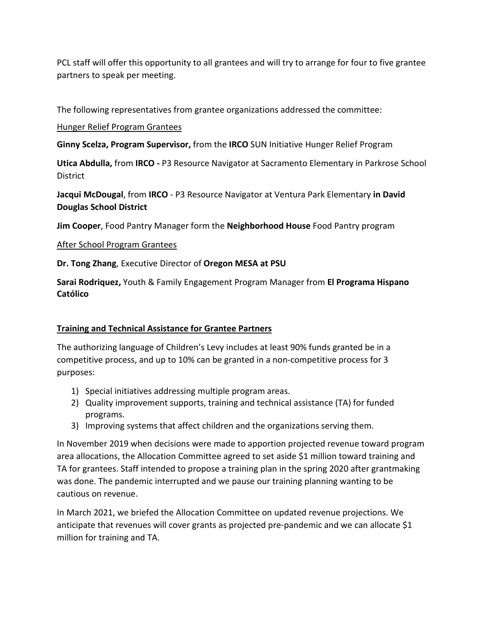PCL staff will offer this opportunity to all grantees and will try to arrange for four to five grantee partners to speak per meeting.

The following representatives from grantee organizations addressed the committee:

## Hunger Relief Program Grantees

**Ginny Scelza, Program Supervisor,** from the **IRCO** SUN Initiative Hunger Relief Program

**Utica Abdulla,** from **IRCO -** P3 Resource Navigator at Sacramento Elementary in Parkrose School **District** 

**Jacqui McDougal**, from **IRCO** - P3 Resource Navigator at Ventura Park Elementary **in David Douglas School District**

**Jim Cooper**, Food Pantry Manager form the **Neighborhood House** Food Pantry program

## After School Program Grantees

**Dr. Tong Zhang**, Executive Director of **Oregon MESA at PSU**

**Sarai Rodriquez,** Youth & Family Engagement Program Manager from **El Programa Hispano Católico**

## **Training and Technical Assistance for Grantee Partners**

The authorizing language of Children's Levy includes at least 90% funds granted be in a competitive process, and up to 10% can be granted in a non-competitive process for 3 purposes:

- 1) Special initiatives addressing multiple program areas.
- 2) Quality improvement supports, training and technical assistance (TA) for funded programs.
- 3) Improving systems that affect children and the organizations serving them.

In November 2019 when decisions were made to apportion projected revenue toward program area allocations, the Allocation Committee agreed to set aside \$1 million toward training and TA for grantees. Staff intended to propose a training plan in the spring 2020 after grantmaking was done. The pandemic interrupted and we pause our training planning wanting to be cautious on revenue.

In March 2021, we briefed the Allocation Committee on updated revenue projections. We anticipate that revenues will cover grants as projected pre-pandemic and we can allocate \$1 million for training and TA.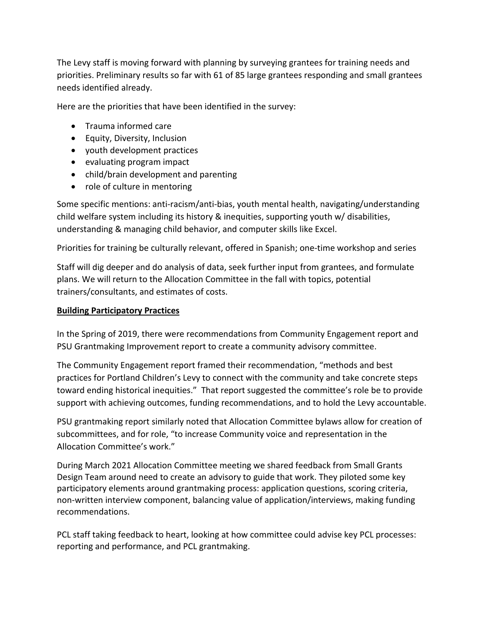The Levy staff is moving forward with planning by surveying grantees for training needs and priorities. Preliminary results so far with 61 of 85 large grantees responding and small grantees needs identified already.

Here are the priorities that have been identified in the survey:

- Trauma informed care
- Equity, Diversity, Inclusion
- youth development practices
- evaluating program impact
- child/brain development and parenting
- role of culture in mentoring

Some specific mentions: anti-racism/anti-bias, youth mental health, navigating/understanding child welfare system including its history & inequities, supporting youth w/ disabilities, understanding & managing child behavior, and computer skills like Excel.

Priorities for training be culturally relevant, offered in Spanish; one-time workshop and series

Staff will dig deeper and do analysis of data, seek further input from grantees, and formulate plans. We will return to the Allocation Committee in the fall with topics, potential trainers/consultants, and estimates of costs.

## **Building Participatory Practices**

In the Spring of 2019, there were recommendations from Community Engagement report and PSU Grantmaking Improvement report to create a community advisory committee.

The Community Engagement report framed their recommendation, "methods and best practices for Portland Children's Levy to connect with the community and take concrete steps toward ending historical inequities." That report suggested the committee's role be to provide support with achieving outcomes, funding recommendations, and to hold the Levy accountable.

PSU grantmaking report similarly noted that Allocation Committee bylaws allow for creation of subcommittees, and for role, "to increase Community voice and representation in the Allocation Committee's work."

During March 2021 Allocation Committee meeting we shared feedback from Small Grants Design Team around need to create an advisory to guide that work. They piloted some key participatory elements around grantmaking process: application questions, scoring criteria, non-written interview component, balancing value of application/interviews, making funding recommendations.

PCL staff taking feedback to heart, looking at how committee could advise key PCL processes: reporting and performance, and PCL grantmaking.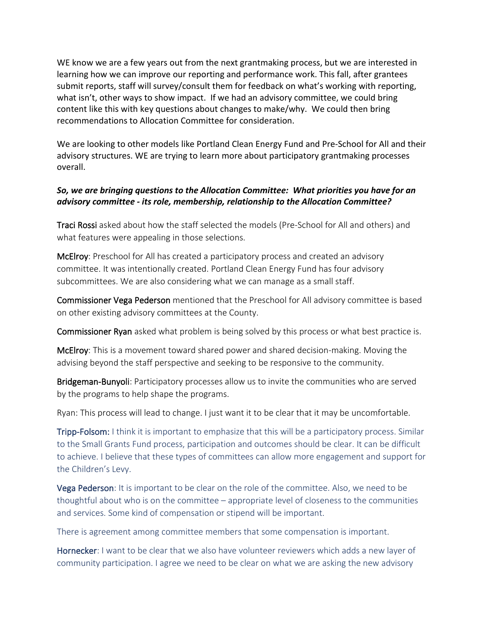WE know we are a few years out from the next grantmaking process, but we are interested in learning how we can improve our reporting and performance work. This fall, after grantees submit reports, staff will survey/consult them for feedback on what's working with reporting, what isn't, other ways to show impact. If we had an advisory committee, we could bring content like this with key questions about changes to make/why. We could then bring recommendations to Allocation Committee for consideration.

We are looking to other models like Portland Clean Energy Fund and Pre-School for All and their advisory structures. WE are trying to learn more about participatory grantmaking processes overall.

## *So, we are bringing questions to the Allocation Committee: What priorities you have for an advisory committee - its role, membership, relationship to the Allocation Committee?*

Traci Rossi asked about how the staff selected the models (Pre-School for All and others) and what features were appealing in those selections.

McElroy: Preschool for All has created a participatory process and created an advisory committee. It was intentionally created. Portland Clean Energy Fund has four advisory subcommittees. We are also considering what we can manage as a small staff.

Commissioner Vega Pederson mentioned that the Preschool for All advisory committee is based on other existing advisory committees at the County.

Commissioner Ryan asked what problem is being solved by this process or what best practice is.

McElroy: This is a movement toward shared power and shared decision-making. Moving the advising beyond the staff perspective and seeking to be responsive to the community.

Bridgeman-Bunyoli: Participatory processes allow us to invite the communities who are served by the programs to help shape the programs.

Ryan: This process will lead to change. I just want it to be clear that it may be uncomfortable.

Tripp-Folsom: I think it is important to emphasize that this will be a participatory process. Similar to the Small Grants Fund process, participation and outcomes should be clear. It can be difficult to achieve. I believe that these types of committees can allow more engagement and support for the Children's Levy.

Vega Pederson: It is important to be clear on the role of the committee. Also, we need to be thoughtful about who is on the committee – appropriate level of closeness to the communities and services. Some kind of compensation or stipend will be important.

There is agreement among committee members that some compensation is important.

Hornecker: I want to be clear that we also have volunteer reviewers which adds a new layer of community participation. I agree we need to be clear on what we are asking the new advisory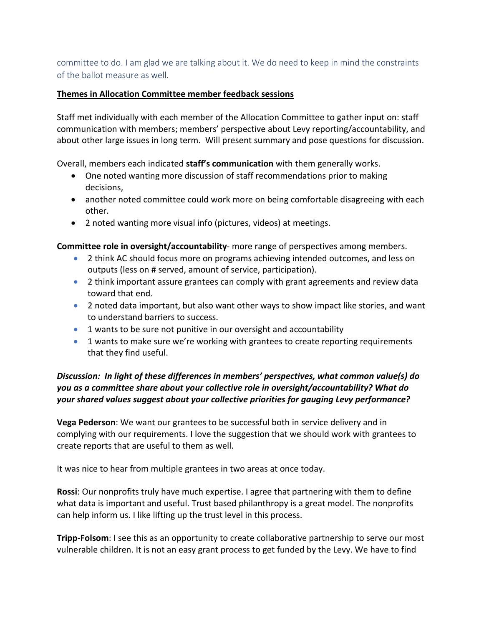committee to do. I am glad we are talking about it. We do need to keep in mind the constraints of the ballot measure as well.

#### **Themes in Allocation Committee member feedback sessions**

Staff met individually with each member of the Allocation Committee to gather input on: staff communication with members; members' perspective about Levy reporting/accountability, and about other large issues in long term. Will present summary and pose questions for discussion.

Overall, members each indicated **staff's communication** with them generally works.

- One noted wanting more discussion of staff recommendations prior to making decisions,
- another noted committee could work more on being comfortable disagreeing with each other.
- 2 noted wanting more visual info (pictures, videos) at meetings.

**Committee role in oversight/accountability**- more range of perspectives among members.

- 2 think AC should focus more on programs achieving intended outcomes, and less on outputs (less on # served, amount of service, participation).
- 2 think important assure grantees can comply with grant agreements and review data toward that end.
- 2 noted data important, but also want other ways to show impact like stories, and want to understand barriers to success.
- 1 wants to be sure not punitive in our oversight and accountability
- 1 wants to make sure we're working with grantees to create reporting requirements that they find useful.

*Discussion: In light of these differences in members' perspectives, what common value(s) do you as a committee share about your collective role in oversight/accountability? What do your shared values suggest about your collective priorities for gauging Levy performance?*

**Vega Pederson**: We want our grantees to be successful both in service delivery and in complying with our requirements. I love the suggestion that we should work with grantees to create reports that are useful to them as well.

It was nice to hear from multiple grantees in two areas at once today.

**Rossi**: Our nonprofits truly have much expertise. I agree that partnering with them to define what data is important and useful. Trust based philanthropy is a great model. The nonprofits can help inform us. I like lifting up the trust level in this process.

**Tripp-Folsom**: I see this as an opportunity to create collaborative partnership to serve our most vulnerable children. It is not an easy grant process to get funded by the Levy. We have to find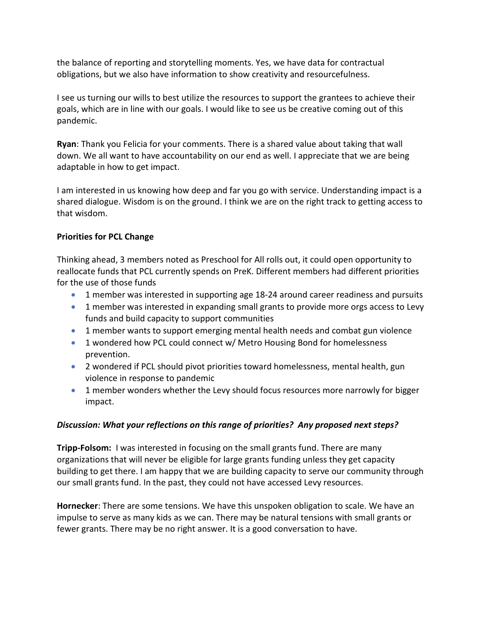the balance of reporting and storytelling moments. Yes, we have data for contractual obligations, but we also have information to show creativity and resourcefulness.

I see us turning our wills to best utilize the resources to support the grantees to achieve their goals, which are in line with our goals. I would like to see us be creative coming out of this pandemic.

**Ryan**: Thank you Felicia for your comments. There is a shared value about taking that wall down. We all want to have accountability on our end as well. I appreciate that we are being adaptable in how to get impact.

I am interested in us knowing how deep and far you go with service. Understanding impact is a shared dialogue. Wisdom is on the ground. I think we are on the right track to getting access to that wisdom.

### **Priorities for PCL Change**

Thinking ahead, 3 members noted as Preschool for All rolls out, it could open opportunity to reallocate funds that PCL currently spends on PreK. Different members had different priorities for the use of those funds

- 1 member was interested in supporting age 18-24 around career readiness and pursuits
- 1 member was interested in expanding small grants to provide more orgs access to Levy funds and build capacity to support communities
- 1 member wants to support emerging mental health needs and combat gun violence
- 1 wondered how PCL could connect w/ Metro Housing Bond for homelessness prevention.
- 2 wondered if PCL should pivot priorities toward homelessness, mental health, gun violence in response to pandemic
- 1 member wonders whether the Levy should focus resources more narrowly for bigger impact.

### *Discussion: What your reflections on this range of priorities? Any proposed next steps?*

**Tripp-Folsom:** I was interested in focusing on the small grants fund. There are many organizations that will never be eligible for large grants funding unless they get capacity building to get there. I am happy that we are building capacity to serve our community through our small grants fund. In the past, they could not have accessed Levy resources.

**Hornecker**: There are some tensions. We have this unspoken obligation to scale. We have an impulse to serve as many kids as we can. There may be natural tensions with small grants or fewer grants. There may be no right answer. It is a good conversation to have.